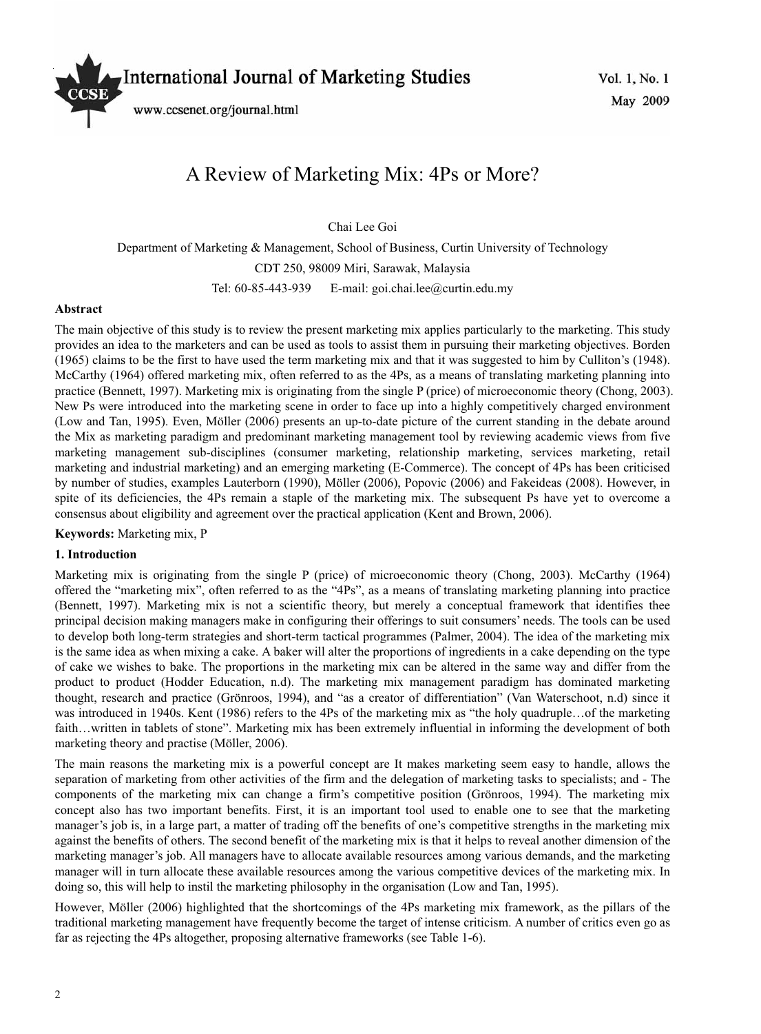

# A Review of Marketing Mix: 4Ps or More?

Chai Lee Goi

Department of Marketing & Management, School of Business, Curtin University of Technology CDT 250, 98009 Miri, Sarawak, Malaysia Tel: 60-85-443-939 E-mail: goi.chai.lee@curtin.edu.my

#### **Abstract**

The main objective of this study is to review the present marketing mix applies particularly to the marketing. This study provides an idea to the marketers and can be used as tools to assist them in pursuing their marketing objectives. Borden (1965) claims to be the first to have used the term marketing mix and that it was suggested to him by Culliton's (1948). McCarthy (1964) offered marketing mix, often referred to as the 4Ps, as a means of translating marketing planning into practice (Bennett, 1997). Marketing mix is originating from the single P (price) of microeconomic theory (Chong, 2003). New Ps were introduced into the marketing scene in order to face up into a highly competitively charged environment (Low and Tan, 1995). Even, Möller (2006) presents an up-to-date picture of the current standing in the debate around the Mix as marketing paradigm and predominant marketing management tool by reviewing academic views from five marketing management sub-disciplines (consumer marketing, relationship marketing, services marketing, retail marketing and industrial marketing) and an emerging marketing (E-Commerce). The concept of 4Ps has been criticised by number of studies, examples Lauterborn (1990), Möller (2006), Popovic (2006) and Fakeideas (2008). However, in spite of its deficiencies, the 4Ps remain a staple of the marketing mix. The subsequent Ps have yet to overcome a consensus about eligibility and agreement over the practical application (Kent and Brown, 2006).

**Keywords:** Marketing mix, P

#### **1. Introduction**

Marketing mix is originating from the single P (price) of microeconomic theory (Chong, 2003). McCarthy (1964) offered the "marketing mix", often referred to as the "4Ps", as a means of translating marketing planning into practice (Bennett, 1997). Marketing mix is not a scientific theory, but merely a conceptual framework that identifies thee principal decision making managers make in configuring their offerings to suit consumers' needs. The tools can be used to develop both long-term strategies and short-term tactical programmes (Palmer, 2004). The idea of the marketing mix is the same idea as when mixing a cake. A baker will alter the proportions of ingredients in a cake depending on the type of cake we wishes to bake. The proportions in the marketing mix can be altered in the same way and differ from the product to product (Hodder Education, n.d). The marketing mix management paradigm has dominated marketing thought, research and practice (Grönroos, 1994), and "as a creator of differentiation" (Van Waterschoot, n.d) since it was introduced in 1940s. Kent (1986) refers to the 4Ps of the marketing mix as "the holy quadruple…of the marketing faith…written in tablets of stone". Marketing mix has been extremely influential in informing the development of both marketing theory and practise (Möller, 2006).

The main reasons the marketing mix is a powerful concept are It makes marketing seem easy to handle, allows the separation of marketing from other activities of the firm and the delegation of marketing tasks to specialists; and - The components of the marketing mix can change a firm's competitive position (Grönroos, 1994). The marketing mix concept also has two important benefits. First, it is an important tool used to enable one to see that the marketing manager's job is, in a large part, a matter of trading off the benefits of one's competitive strengths in the marketing mix against the benefits of others. The second benefit of the marketing mix is that it helps to reveal another dimension of the marketing manager's job. All managers have to allocate available resources among various demands, and the marketing manager will in turn allocate these available resources among the various competitive devices of the marketing mix. In doing so, this will help to instil the marketing philosophy in the organisation (Low and Tan, 1995).

However, Möller (2006) highlighted that the shortcomings of the 4Ps marketing mix framework, as the pillars of the traditional marketing management have frequently become the target of intense criticism. A number of critics even go as far as rejecting the 4Ps altogether, proposing alternative frameworks (see Table 1-6).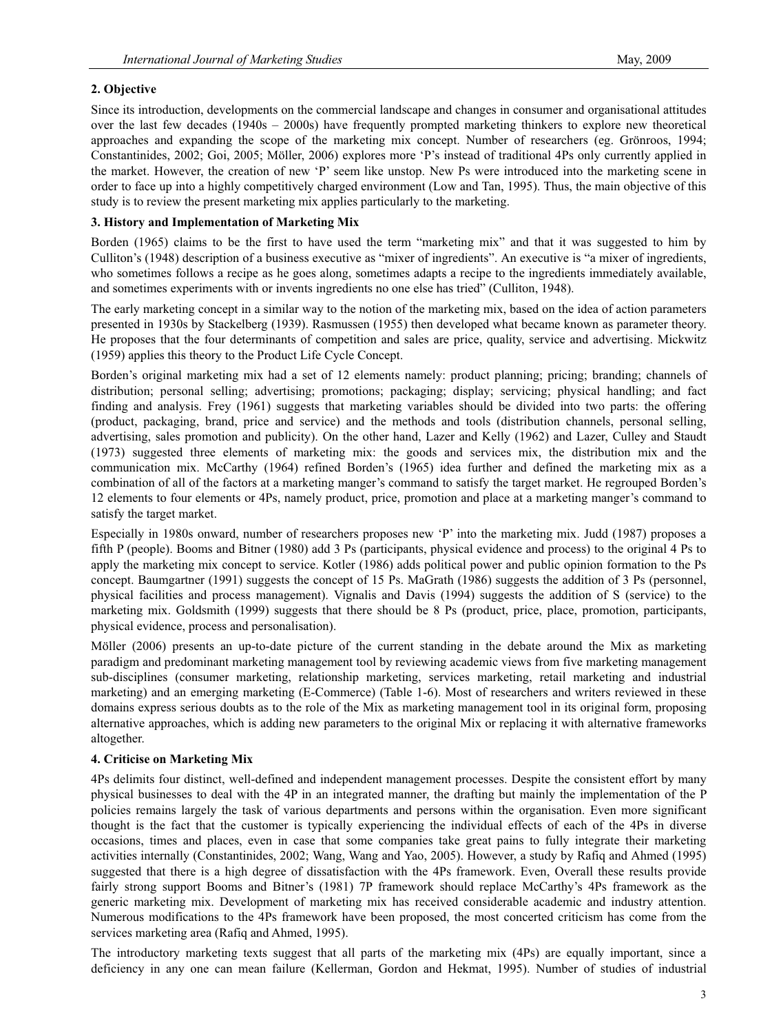# **2. Objective**

Since its introduction, developments on the commercial landscape and changes in consumer and organisational attitudes over the last few decades (1940s – 2000s) have frequently prompted marketing thinkers to explore new theoretical approaches and expanding the scope of the marketing mix concept. Number of researchers (eg. Grönroos, 1994; Constantinides, 2002; Goi, 2005; Möller, 2006) explores more 'P's instead of traditional 4Ps only currently applied in the market. However, the creation of new 'P' seem like unstop. New Ps were introduced into the marketing scene in order to face up into a highly competitively charged environment (Low and Tan, 1995). Thus, the main objective of this study is to review the present marketing mix applies particularly to the marketing.

# **3. History and Implementation of Marketing Mix**

Borden (1965) claims to be the first to have used the term "marketing mix" and that it was suggested to him by Culliton's (1948) description of a business executive as "mixer of ingredients". An executive is "a mixer of ingredients, who sometimes follows a recipe as he goes along, sometimes adapts a recipe to the ingredients immediately available, and sometimes experiments with or invents ingredients no one else has tried" (Culliton, 1948).

The early marketing concept in a similar way to the notion of the marketing mix, based on the idea of action parameters presented in 1930s by Stackelberg (1939). Rasmussen (1955) then developed what became known as parameter theory. He proposes that the four determinants of competition and sales are price, quality, service and advertising. Mickwitz (1959) applies this theory to the Product Life Cycle Concept.

Borden's original marketing mix had a set of 12 elements namely: product planning; pricing; branding; channels of distribution; personal selling; advertising; promotions; packaging; display; servicing; physical handling; and fact finding and analysis. Frey (1961) suggests that marketing variables should be divided into two parts: the offering (product, packaging, brand, price and service) and the methods and tools (distribution channels, personal selling, advertising, sales promotion and publicity). On the other hand, Lazer and Kelly (1962) and Lazer, Culley and Staudt (1973) suggested three elements of marketing mix: the goods and services mix, the distribution mix and the communication mix. McCarthy (1964) refined Borden's (1965) idea further and defined the marketing mix as a combination of all of the factors at a marketing manger's command to satisfy the target market. He regrouped Borden's 12 elements to four elements or 4Ps, namely product, price, promotion and place at a marketing manger's command to satisfy the target market.

Especially in 1980s onward, number of researchers proposes new 'P' into the marketing mix. Judd (1987) proposes a fifth P (people). Booms and Bitner (1980) add 3 Ps (participants, physical evidence and process) to the original 4 Ps to apply the marketing mix concept to service. Kotler (1986) adds political power and public opinion formation to the Ps concept. Baumgartner (1991) suggests the concept of 15 Ps. MaGrath (1986) suggests the addition of 3 Ps (personnel, physical facilities and process management). Vignalis and Davis (1994) suggests the addition of S (service) to the marketing mix. Goldsmith (1999) suggests that there should be 8 Ps (product, price, place, promotion, participants, physical evidence, process and personalisation).

Möller (2006) presents an up-to-date picture of the current standing in the debate around the Mix as marketing paradigm and predominant marketing management tool by reviewing academic views from five marketing management sub-disciplines (consumer marketing, relationship marketing, services marketing, retail marketing and industrial marketing) and an emerging marketing (E-Commerce) (Table 1-6). Most of researchers and writers reviewed in these domains express serious doubts as to the role of the Mix as marketing management tool in its original form, proposing alternative approaches, which is adding new parameters to the original Mix or replacing it with alternative frameworks altogether.

## **4. Criticise on Marketing Mix**

4Ps delimits four distinct, well-defined and independent management processes. Despite the consistent effort by many physical businesses to deal with the 4P in an integrated manner, the drafting but mainly the implementation of the P policies remains largely the task of various departments and persons within the organisation. Even more significant thought is the fact that the customer is typically experiencing the individual effects of each of the 4Ps in diverse occasions, times and places, even in case that some companies take great pains to fully integrate their marketing activities internally (Constantinides, 2002; Wang, Wang and Yao, 2005). However, a study by Rafiq and Ahmed (1995) suggested that there is a high degree of dissatisfaction with the 4Ps framework. Even, Overall these results provide fairly strong support Booms and Bitner's (1981) 7P framework should replace McCarthy's 4Ps framework as the generic marketing mix. Development of marketing mix has received considerable academic and industry attention. Numerous modifications to the 4Ps framework have been proposed, the most concerted criticism has come from the services marketing area (Rafiq and Ahmed, 1995).

The introductory marketing texts suggest that all parts of the marketing mix (4Ps) are equally important, since a deficiency in any one can mean failure (Kellerman, Gordon and Hekmat, 1995). Number of studies of industrial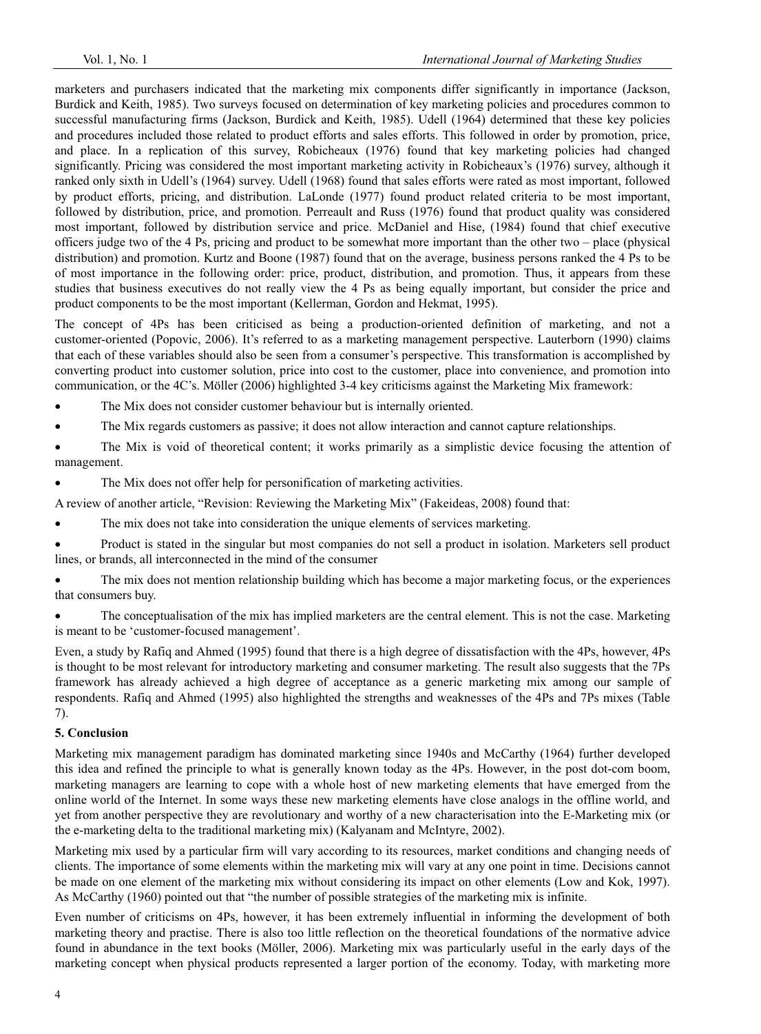marketers and purchasers indicated that the marketing mix components differ significantly in importance (Jackson, Burdick and Keith, 1985). Two surveys focused on determination of key marketing policies and procedures common to successful manufacturing firms (Jackson, Burdick and Keith, 1985). Udell (1964) determined that these key policies and procedures included those related to product efforts and sales efforts. This followed in order by promotion, price, and place. In a replication of this survey, Robicheaux (1976) found that key marketing policies had changed significantly. Pricing was considered the most important marketing activity in Robicheaux's (1976) survey, although it ranked only sixth in Udell's (1964) survey. Udell (1968) found that sales efforts were rated as most important, followed by product efforts, pricing, and distribution. LaLonde (1977) found product related criteria to be most important, followed by distribution, price, and promotion. Perreault and Russ (1976) found that product quality was considered most important, followed by distribution service and price. McDaniel and Hise, (1984) found that chief executive officers judge two of the 4 Ps, pricing and product to be somewhat more important than the other two – place (physical distribution) and promotion. Kurtz and Boone (1987) found that on the average, business persons ranked the 4 Ps to be of most importance in the following order: price, product, distribution, and promotion. Thus, it appears from these studies that business executives do not really view the 4 Ps as being equally important, but consider the price and product components to be the most important (Kellerman, Gordon and Hekmat, 1995).

The concept of 4Ps has been criticised as being a production-oriented definition of marketing, and not a customer-oriented (Popovic, 2006). It's referred to as a marketing management perspective. Lauterborn (1990) claims that each of these variables should also be seen from a consumer's perspective. This transformation is accomplished by converting product into customer solution, price into cost to the customer, place into convenience, and promotion into communication, or the 4C's. Möller (2006) highlighted 3-4 key criticisms against the Marketing Mix framework:

- The Mix does not consider customer behaviour but is internally oriented.
- The Mix regards customers as passive; it does not allow interaction and cannot capture relationships.

The Mix is void of theoretical content; it works primarily as a simplistic device focusing the attention of management.

• The Mix does not offer help for personification of marketing activities.

A review of another article, "Revision: Reviewing the Marketing Mix" (Fakeideas, 2008) found that:

- The mix does not take into consideration the unique elements of services marketing.
- Product is stated in the singular but most companies do not sell a product in isolation. Marketers sell product lines, or brands, all interconnected in the mind of the consumer

The mix does not mention relationship building which has become a major marketing focus, or the experiences that consumers buy.

• The conceptualisation of the mix has implied marketers are the central element. This is not the case. Marketing is meant to be 'customer-focused management'.

Even, a study by Rafiq and Ahmed (1995) found that there is a high degree of dissatisfaction with the 4Ps, however, 4Ps is thought to be most relevant for introductory marketing and consumer marketing. The result also suggests that the 7Ps framework has already achieved a high degree of acceptance as a generic marketing mix among our sample of respondents. Rafiq and Ahmed (1995) also highlighted the strengths and weaknesses of the 4Ps and 7Ps mixes (Table 7).

#### **5. Conclusion**

Marketing mix management paradigm has dominated marketing since 1940s and McCarthy (1964) further developed this idea and refined the principle to what is generally known today as the 4Ps. However, in the post dot-com boom, marketing managers are learning to cope with a whole host of new marketing elements that have emerged from the online world of the Internet. In some ways these new marketing elements have close analogs in the offline world, and yet from another perspective they are revolutionary and worthy of a new characterisation into the E-Marketing mix (or the e-marketing delta to the traditional marketing mix) (Kalyanam and McIntyre, 2002).

Marketing mix used by a particular firm will vary according to its resources, market conditions and changing needs of clients. The importance of some elements within the marketing mix will vary at any one point in time. Decisions cannot be made on one element of the marketing mix without considering its impact on other elements (Low and Kok, 1997). As McCarthy (1960) pointed out that "the number of possible strategies of the marketing mix is infinite.

Even number of criticisms on 4Ps, however, it has been extremely influential in informing the development of both marketing theory and practise. There is also too little reflection on the theoretical foundations of the normative advice found in abundance in the text books (Möller, 2006). Marketing mix was particularly useful in the early days of the marketing concept when physical products represented a larger portion of the economy. Today, with marketing more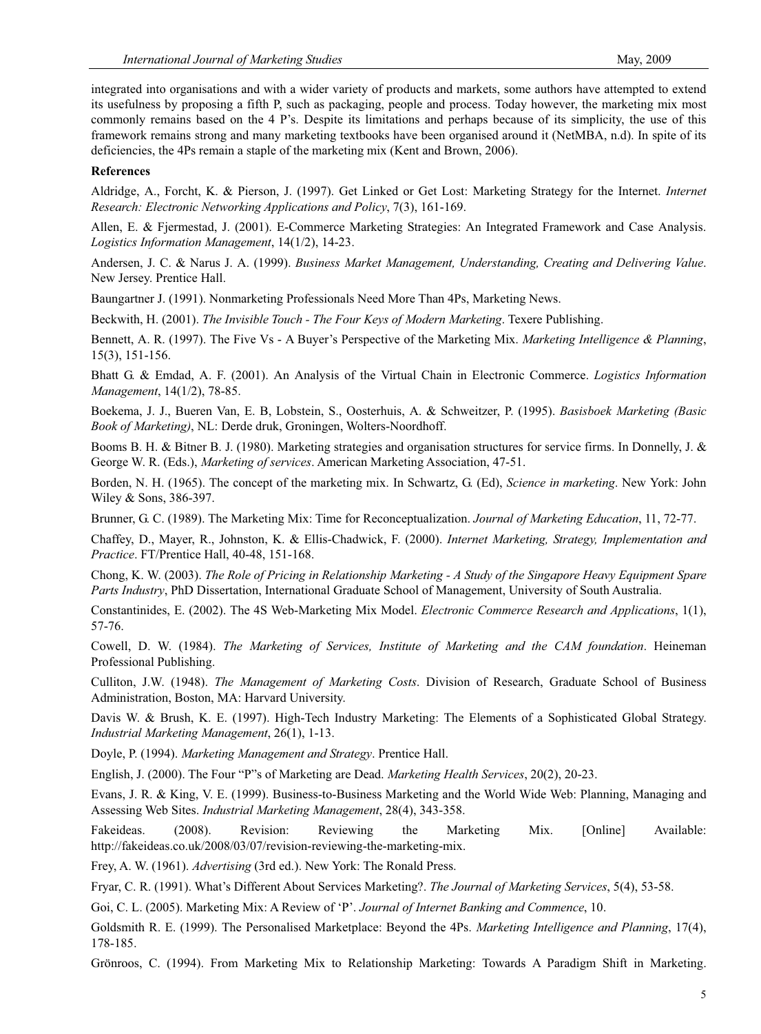integrated into organisations and with a wider variety of products and markets, some authors have attempted to extend its usefulness by proposing a fifth P, such as packaging, people and process. Today however, the marketing mix most commonly remains based on the 4 P's. Despite its limitations and perhaps because of its simplicity, the use of this framework remains strong and many marketing textbooks have been organised around it (NetMBA, n.d). In spite of its deficiencies, the 4Ps remain a staple of the marketing mix (Kent and Brown, 2006).

### **References**

Aldridge, A., Forcht, K. & Pierson, J. (1997). Get Linked or Get Lost: Marketing Strategy for the Internet. *Internet Research: Electronic Networking Applications and Policy*, 7(3), 161-169.

Allen, E. & Fjermestad, J. (2001). E-Commerce Marketing Strategies: An Integrated Framework and Case Analysis. *Logistics Information Management*, 14(1/2), 14-23.

Andersen, J. C. & Narus J. A. (1999). *Business Market Management, Understanding, Creating and Delivering Value*. New Jersey. Prentice Hall.

Baungartner J. (1991). Nonmarketing Professionals Need More Than 4Ps, Marketing News.

Beckwith, H. (2001). *The Invisible Touch - The Four Keys of Modern Marketing*. Texere Publishing.

Bennett, A. R. (1997). The Five Vs - A Buyer's Perspective of the Marketing Mix. *Marketing Intelligence & Planning*, 15(3), 151-156.

Bhatt G. & Emdad, A. F. (2001). An Analysis of the Virtual Chain in Electronic Commerce. *Logistics Information Management*, 14(1/2), 78-85.

Boekema, J. J., Bueren Van, E. B, Lobstein, S., Oosterhuis, A. & Schweitzer, P. (1995). *Basisboek Marketing (Basic Book of Marketing)*, NL: Derde druk, Groningen, Wolters-Noordhoff.

Booms B. H. & Bitner B. J. (1980). Marketing strategies and organisation structures for service firms. In Donnelly, J. & George W. R. (Eds.), *Marketing of services*. American Marketing Association, 47-51.

Borden, N. H. (1965). The concept of the marketing mix. In Schwartz, G. (Ed), *Science in marketing*. New York: John Wiley & Sons, 386-397.

Brunner, G. C. (1989). The Marketing Mix: Time for Reconceptualization. *Journal of Marketing Education*, 11, 72-77.

Chaffey, D., Mayer, R., Johnston, K. & Ellis-Chadwick, F. (2000). *Internet Marketing, Strategy, Implementation and Practice*. FT/Prentice Hall, 40-48, 151-168.

Chong, K. W. (2003). *The Role of Pricing in Relationship Marketing - A Study of the Singapore Heavy Equipment Spare Parts Industry*, PhD Dissertation, International Graduate School of Management, University of South Australia.

Constantinides, E. (2002). The 4S Web-Marketing Mix Model. *Electronic Commerce Research and Applications*, 1(1), 57-76.

Cowell, D. W. (1984). *The Marketing of Services, Institute of Marketing and the CAM foundation*. Heineman Professional Publishing.

Culliton, J.W. (1948). *The Management of Marketing Costs*. Division of Research, Graduate School of Business Administration, Boston, MA: Harvard University.

Davis W. & Brush, K. E. (1997). High-Tech Industry Marketing: The Elements of a Sophisticated Global Strategy. *Industrial Marketing Management*, 26(1), 1-13.

Doyle, P. (1994). *Marketing Management and Strategy*. Prentice Hall.

English, J. (2000). The Four "P"s of Marketing are Dead. *Marketing Health Services*, 20(2), 20-23.

Evans, J. R. & King, V. E. (1999). Business-to-Business Marketing and the World Wide Web: Planning, Managing and Assessing Web Sites. *Industrial Marketing Management*, 28(4), 343-358.

Fakeideas. (2008). Revision: Reviewing the Marketing Mix. [Online] Available: http://fakeideas.co.uk/2008/03/07/revision-reviewing-the-marketing-mix.

Frey, A. W. (1961). *Advertising* (3rd ed.). New York: The Ronald Press.

Fryar, C. R. (1991). What's Different About Services Marketing?. *The Journal of Marketing Services*, 5(4), 53-58.

Goi, C. L. (2005). Marketing Mix: A Review of 'P'. *Journal of Internet Banking and Commence*, 10.

Goldsmith R. E. (1999). The Personalised Marketplace: Beyond the 4Ps. *Marketing Intelligence and Planning*, 17(4), 178-185.

Grönroos, C. (1994). From Marketing Mix to Relationship Marketing: Towards A Paradigm Shift in Marketing.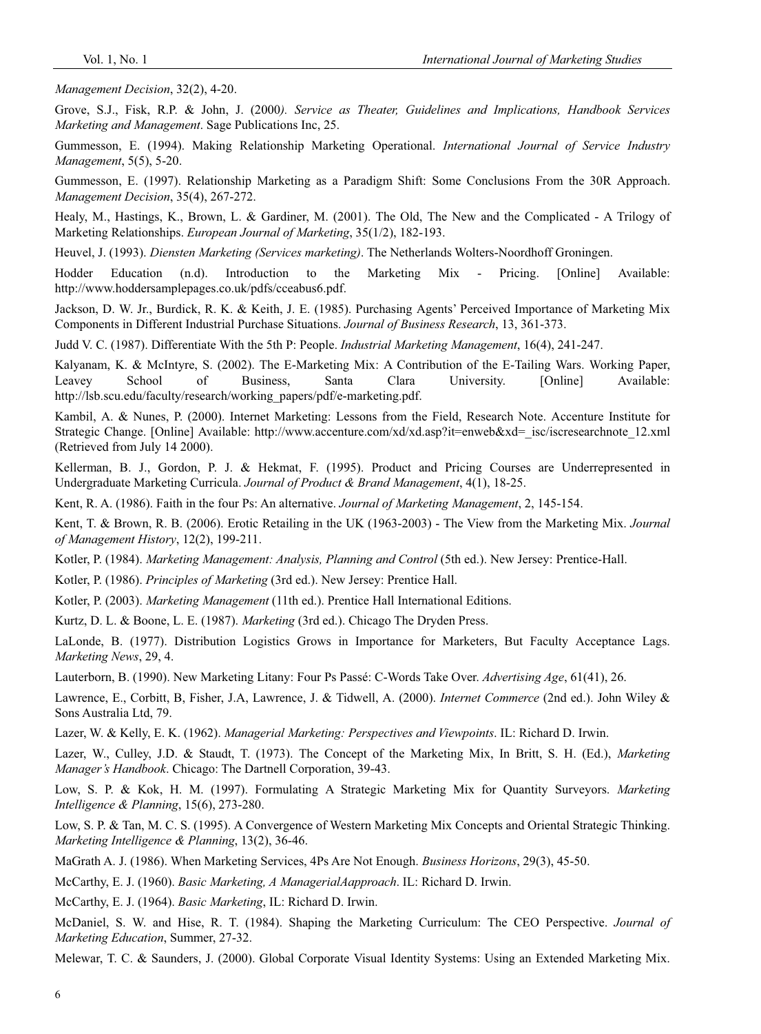*Management Decision*, 32(2), 4-20.

Grove, S.J., Fisk, R.P. & John, J. (2000*). Service as Theater, Guidelines and Implications, Handbook Services Marketing and Management*. Sage Publications Inc, 25.

Gummesson, E. (1994). Making Relationship Marketing Operational. *International Journal of Service Industry Management*, 5(5), 5-20.

Gummesson, E. (1997). Relationship Marketing as a Paradigm Shift: Some Conclusions From the 30R Approach. *Management Decision*, 35(4), 267-272.

Healy, M., Hastings, K., Brown, L. & Gardiner, M. (2001). The Old, The New and the Complicated - A Trilogy of Marketing Relationships. *European Journal of Marketing*, 35(1/2), 182-193.

Heuvel, J. (1993). *Diensten Marketing (Services marketing)*. The Netherlands Wolters-Noordhoff Groningen.

Hodder Education (n.d). Introduction to the Marketing Mix - Pricing. [Online] Available: http://www.hoddersamplepages.co.uk/pdfs/cceabus6.pdf.

Jackson, D. W. Jr., Burdick, R. K. & Keith, J. E. (1985). Purchasing Agents' Perceived Importance of Marketing Mix Components in Different Industrial Purchase Situations. *Journal of Business Research*, 13, 361-373.

Judd V. C. (1987). Differentiate With the 5th P: People. *Industrial Marketing Management*, 16(4), 241-247.

Kalyanam, K. & McIntyre, S. (2002). The E-Marketing Mix: A Contribution of the E-Tailing Wars. Working Paper, Leavey School of Business, Santa Clara University. [Online] Available: http://lsb.scu.edu/faculty/research/working\_papers/pdf/e-marketing.pdf.

Kambil, A. & Nunes, P. (2000). Internet Marketing: Lessons from the Field, Research Note. Accenture Institute for Strategic Change. [Online] Available: http://www.accenture.com/xd/xd.asp?it=enweb&xd=\_isc/iscresearchnote\_12.xml (Retrieved from July 14 2000).

Kellerman, B. J., Gordon, P. J. & Hekmat, F. (1995). Product and Pricing Courses are Underrepresented in Undergraduate Marketing Curricula. *Journal of Product & Brand Management*, 4(1), 18-25.

Kent, R. A. (1986). Faith in the four Ps: An alternative. *Journal of Marketing Management*, 2, 145-154.

Kent, T. & Brown, R. B. (2006). Erotic Retailing in the UK (1963-2003) - The View from the Marketing Mix. *Journal of Management History*, 12(2), 199-211.

Kotler, P. (1984). *Marketing Management: Analysis, Planning and Control* (5th ed.). New Jersey: Prentice-Hall.

Kotler, P. (1986). *Principles of Marketing* (3rd ed.). New Jersey: Prentice Hall.

Kotler, P. (2003). *Marketing Management* (11th ed.). Prentice Hall International Editions.

Kurtz, D. L. & Boone, L. E. (1987). *Marketing* (3rd ed.). Chicago The Dryden Press.

LaLonde, B. (1977). Distribution Logistics Grows in Importance for Marketers, But Faculty Acceptance Lags. *Marketing News*, 29, 4.

Lauterborn, B. (1990). New Marketing Litany: Four Ps Passé: C-Words Take Over. *Advertising Age*, 61(41), 26.

Lawrence, E., Corbitt, B, Fisher, J.A, Lawrence, J. & Tidwell, A. (2000). *Internet Commerce* (2nd ed.). John Wiley & Sons Australia Ltd, 79.

Lazer, W. & Kelly, E. K. (1962). *Managerial Marketing: Perspectives and Viewpoints*. IL: Richard D. Irwin.

Lazer, W., Culley, J.D. & Staudt, T. (1973). The Concept of the Marketing Mix, In Britt, S. H. (Ed.), *Marketing Manager's Handbook*. Chicago: The Dartnell Corporation, 39-43.

Low, S. P. & Kok, H. M. (1997). Formulating A Strategic Marketing Mix for Quantity Surveyors. *Marketing Intelligence & Planning*, 15(6), 273-280.

Low, S. P. & Tan, M. C. S. (1995). A Convergence of Western Marketing Mix Concepts and Oriental Strategic Thinking. *Marketing Intelligence & Planning*, 13(2), 36-46.

MaGrath A. J. (1986). When Marketing Services, 4Ps Are Not Enough. *Business Horizons*, 29(3), 45-50.

McCarthy, E. J. (1960). *Basic Marketing, A ManagerialAapproach*. IL: Richard D. Irwin.

McCarthy, E. J. (1964). *Basic Marketing*, IL: Richard D. Irwin.

McDaniel, S. W. and Hise, R. T. (1984). Shaping the Marketing Curriculum: The CEO Perspective. *Journal of Marketing Education*, Summer, 27-32.

Melewar, T. C. & Saunders, J. (2000). Global Corporate Visual Identity Systems: Using an Extended Marketing Mix.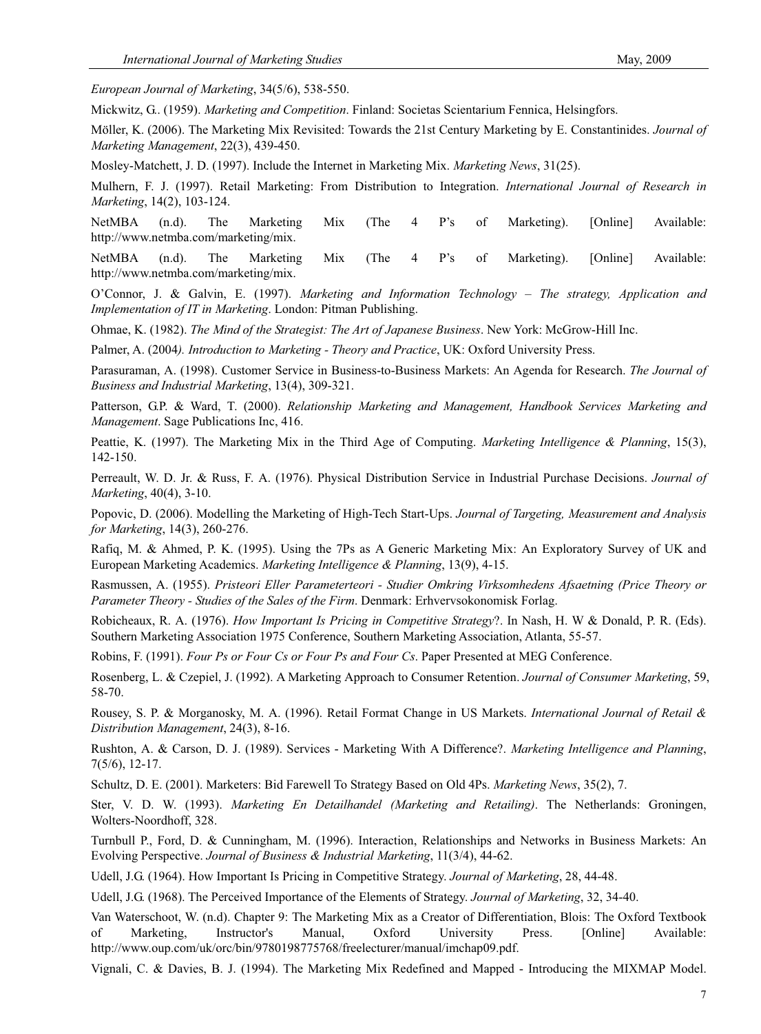*European Journal of Marketing*, 34(5/6), 538-550.

Mickwitz, G.. (1959). *Marketing and Competition*. Finland: Societas Scientarium Fennica, Helsingfors.

Möller, K. (2006). The Marketing Mix Revisited: Towards the 21st Century Marketing by E. Constantinides. *Journal of Marketing Management*, 22(3), 439-450.

Mosley-Matchett, J. D. (1997). Include the Internet in Marketing Mix. *Marketing News*, 31(25).

Mulhern, F. J. (1997). Retail Marketing: From Distribution to Integration. *International Journal of Research in Marketing*, 14(2), 103-124.

NetMBA (n.d). The Marketing Mix (The 4 P's of Marketing). [Online] Available: http://www.netmba.com/marketing/mix.

NetMBA (n.d). The Marketing Mix (The 4 P's of Marketing). [Online] Available: http://www.netmba.com/marketing/mix.

O'Connor, J. & Galvin, E. (1997). *Marketing and Information Technology – The strategy, Application and Implementation of IT in Marketing*. London: Pitman Publishing.

Ohmae, K. (1982). *The Mind of the Strategist: The Art of Japanese Business*. New York: McGrow-Hill Inc.

Palmer, A. (2004*). Introduction to Marketing - Theory and Practice*, UK: Oxford University Press.

Parasuraman, A. (1998). Customer Service in Business-to-Business Markets: An Agenda for Research. *The Journal of Business and Industrial Marketing*, 13(4), 309-321.

Patterson, G.P. & Ward, T. (2000). *Relationship Marketing and Management, Handbook Services Marketing and Management*. Sage Publications Inc, 416.

Peattie, K. (1997). The Marketing Mix in the Third Age of Computing. *Marketing Intelligence & Planning*, 15(3), 142-150.

Perreault, W. D. Jr. & Russ, F. A. (1976). Physical Distribution Service in Industrial Purchase Decisions. *Journal of Marketing*, 40(4), 3-10.

Popovic, D. (2006). Modelling the Marketing of High-Tech Start-Ups. *Journal of Targeting, Measurement and Analysis for Marketing*, 14(3), 260-276.

Rafiq, M. & Ahmed, P. K. (1995). Using the 7Ps as A Generic Marketing Mix: An Exploratory Survey of UK and European Marketing Academics. *Marketing Intelligence & Planning*, 13(9), 4-15.

Rasmussen, A. (1955). *Pristeori Eller Parameterteori - Studier Omkring Virksomhedens Afsaetning (Price Theory or Parameter Theory - Studies of the Sales of the Firm*. Denmark: Erhvervsokonomisk Forlag.

Robicheaux, R. A. (1976). *How Important Is Pricing in Competitive Strategy*?. In Nash, H. W & Donald, P. R. (Eds). Southern Marketing Association 1975 Conference, Southern Marketing Association, Atlanta, 55-57.

Robins, F. (1991). *Four Ps or Four Cs or Four Ps and Four Cs*. Paper Presented at MEG Conference.

Rosenberg, L. & Czepiel, J. (1992). A Marketing Approach to Consumer Retention. *Journal of Consumer Marketing*, 59, 58-70.

Rousey, S. P. & Morganosky, M. A. (1996). Retail Format Change in US Markets. *International Journal of Retail & Distribution Management*, 24(3), 8-16.

Rushton, A. & Carson, D. J. (1989). Services - Marketing With A Difference?. *Marketing Intelligence and Planning*, 7(5/6), 12-17.

Schultz, D. E. (2001). Marketers: Bid Farewell To Strategy Based on Old 4Ps. *Marketing News*, 35(2), 7.

Ster, V. D. W. (1993). *Marketing En Detailhandel (Marketing and Retailing)*. The Netherlands: Groningen, Wolters-Noordhoff, 328.

Turnbull P., Ford, D. & Cunningham, M. (1996). Interaction, Relationships and Networks in Business Markets: An Evolving Perspective. *Journal of Business & Industrial Marketing*, 11(3/4), 44-62.

Udell, J.G. (1964). How Important Is Pricing in Competitive Strategy. *Journal of Marketing*, 28, 44-48.

Udell, J.G. (1968). The Perceived Importance of the Elements of Strategy. *Journal of Marketing*, 32, 34-40.

Van Waterschoot, W. (n.d). Chapter 9: The Marketing Mix as a Creator of Differentiation, Blois: The Oxford Textbook of Marketing, Instructor's Manual, Oxford University Press. [Online] Available: http://www.oup.com/uk/orc/bin/9780198775768/freelecturer/manual/imchap09.pdf.

Vignali, C. & Davies, B. J. (1994). The Marketing Mix Redefined and Mapped - Introducing the MIXMAP Model.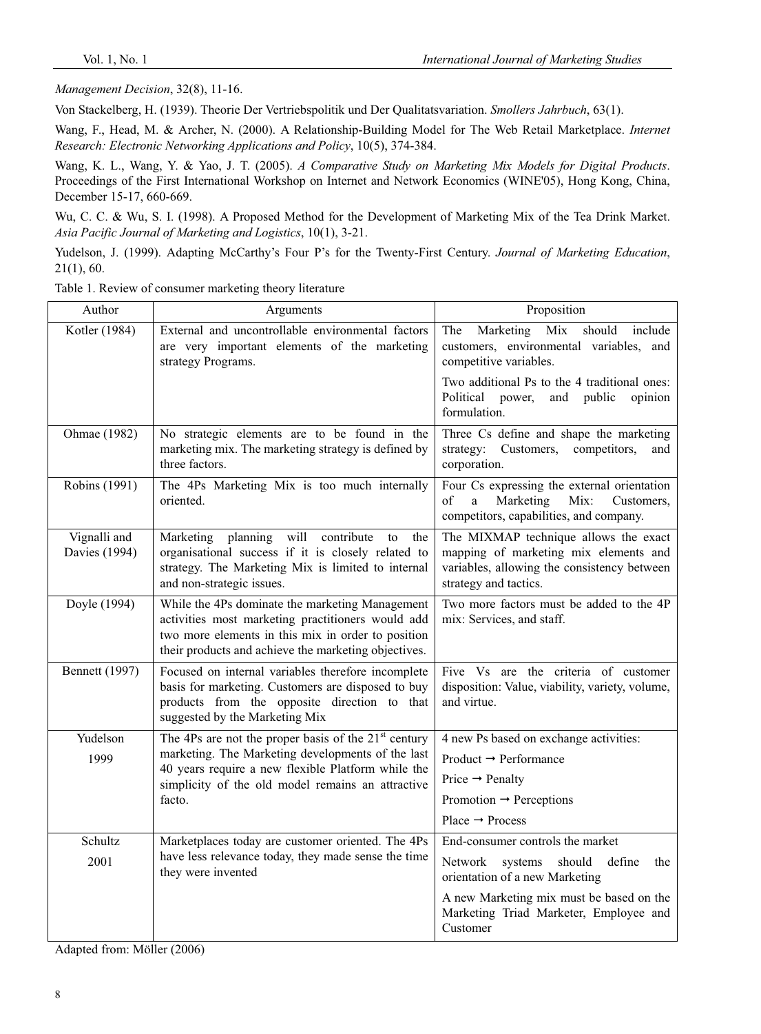*Management Decision*, 32(8), 11-16.

Von Stackelberg, H. (1939). Theorie Der Vertriebspolitik und Der Qualitatsvariation. *Smollers Jahrbuch*, 63(1).

Wang, F., Head, M. & Archer, N. (2000). A Relationship-Building Model for The Web Retail Marketplace. *Internet Research: Electronic Networking Applications and Policy*, 10(5), 374-384.

Wang, K. L., Wang, Y. & Yao, J. T. (2005). *A Comparative Study on Marketing Mix Models for Digital Products*. Proceedings of the First International Workshop on Internet and Network Economics (WINE'05), Hong Kong, China, December 15-17, 660-669.

Wu, C. C. & Wu, S. I. (1998). A Proposed Method for the Development of Marketing Mix of the Tea Drink Market. *Asia Pacific Journal of Marketing and Logistics*, 10(1), 3-21.

Yudelson, J. (1999). Adapting McCarthy's Four P's for the Twenty-First Century. *Journal of Marketing Education*, 21(1), 60.

Table 1. Review of consumer marketing theory literature

| Author                        | Arguments                                                                                                                                                                                                          | Proposition                                                                                                                                            |
|-------------------------------|--------------------------------------------------------------------------------------------------------------------------------------------------------------------------------------------------------------------|--------------------------------------------------------------------------------------------------------------------------------------------------------|
| Kotler (1984)                 | External and uncontrollable environmental factors<br>are very important elements of the marketing<br>strategy Programs.                                                                                            | Mix<br>should include<br>The<br>Marketing<br>customers, environmental variables, and<br>competitive variables.                                         |
|                               |                                                                                                                                                                                                                    | Two additional Ps to the 4 traditional ones:<br>public<br>Political power,<br>and<br>opinion<br>formulation.                                           |
| Ohmae (1982)                  | No strategic elements are to be found in the<br>marketing mix. The marketing strategy is defined by<br>three factors.                                                                                              | Three Cs define and shape the marketing<br>strategy: Customers, competitors,<br>and<br>corporation.                                                    |
| Robins (1991)                 | The 4Ps Marketing Mix is too much internally<br>oriented.                                                                                                                                                          | Four Cs expressing the external orientation<br>Mix:<br>of<br>a<br>Marketing<br>Customers,<br>competitors, capabilities, and company.                   |
| Vignalli and<br>Davies (1994) | Marketing planning will<br>contribute<br>to<br>the<br>organisational success if it is closely related to<br>strategy. The Marketing Mix is limited to internal<br>and non-strategic issues.                        | The MIXMAP technique allows the exact<br>mapping of marketing mix elements and<br>variables, allowing the consistency between<br>strategy and tactics. |
| Doyle (1994)                  | While the 4Ps dominate the marketing Management<br>activities most marketing practitioners would add<br>two more elements in this mix in order to position<br>their products and achieve the marketing objectives. | Two more factors must be added to the 4P<br>mix: Services, and staff.                                                                                  |
| <b>Bennett</b> (1997)         | Focused on internal variables therefore incomplete<br>basis for marketing. Customers are disposed to buy<br>products from the opposite direction to that<br>suggested by the Marketing Mix                         | Five Vs are the criteria of customer<br>disposition: Value, viability, variety, volume,<br>and virtue.                                                 |
| Yudelson                      | The 4Ps are not the proper basis of the $21st$ century                                                                                                                                                             | 4 new Ps based on exchange activities:                                                                                                                 |
| 1999                          | marketing. The Marketing developments of the last                                                                                                                                                                  | Product $\rightarrow$ Performance                                                                                                                      |
|                               | 40 years require a new flexible Platform while the<br>simplicity of the old model remains an attractive<br>facto.                                                                                                  | Price $\rightarrow$ Penalty                                                                                                                            |
|                               |                                                                                                                                                                                                                    | Promotion $\rightarrow$ Perceptions                                                                                                                    |
|                               |                                                                                                                                                                                                                    | Place $\rightarrow$ Process                                                                                                                            |
| Schultz                       | Marketplaces today are customer oriented. The 4Ps                                                                                                                                                                  | End-consumer controls the market                                                                                                                       |
| 2001                          | have less relevance today, they made sense the time<br>they were invented                                                                                                                                          | should<br>define<br>Network<br>systems<br>the<br>orientation of a new Marketing                                                                        |
|                               |                                                                                                                                                                                                                    | A new Marketing mix must be based on the<br>Marketing Triad Marketer, Employee and<br>Customer                                                         |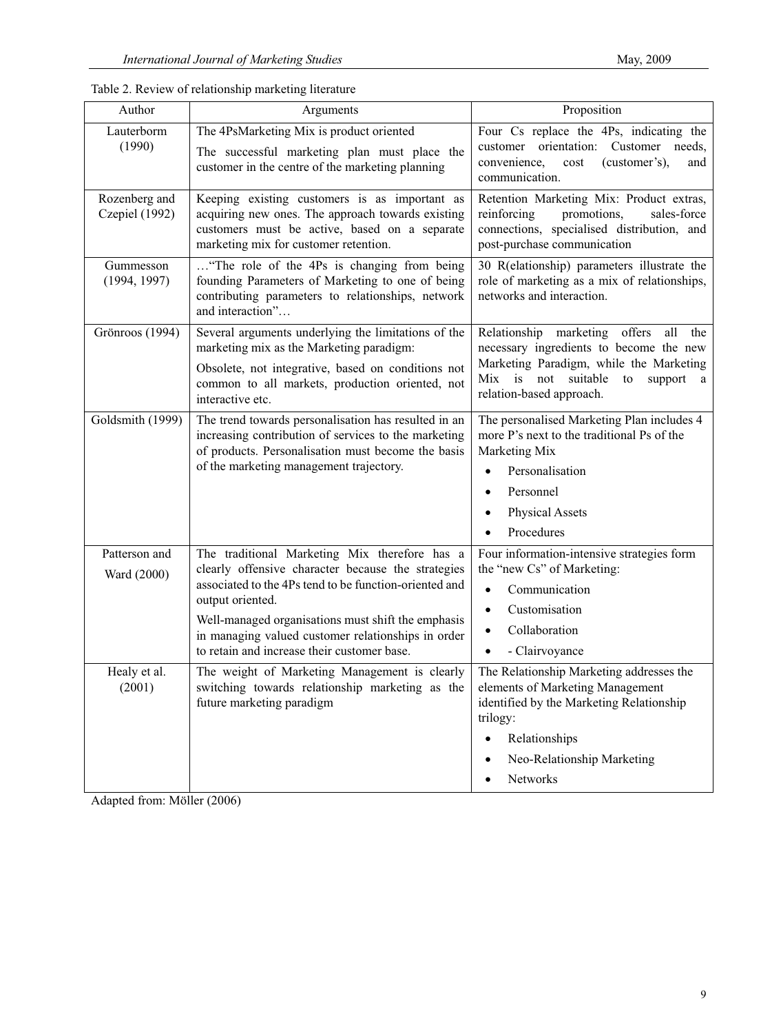| Proposition<br>Author<br>Arguments<br>The 4PsMarketing Mix is product oriented<br>Lauterborm<br>(1990)<br>customer<br>The successful marketing plan must place the<br>convenience,<br>(customer's),<br>cost<br>customer in the centre of the marketing planning<br>communication.<br>Rozenberg and<br>Keeping existing customers is as important as<br>Czepiel (1992)<br>acquiring new ones. The approach towards existing<br>reinforcing<br>promotions,<br>customers must be active, based on a separate<br>marketing mix for customer retention.<br>post-purchase communication<br>"The role of the 4Ps is changing from being<br>Gummesson<br>(1994, 1997)<br>founding Parameters of Marketing to one of being<br>networks and interaction.<br>contributing parameters to relationships, network<br>and interaction"<br>Grönroos (1994)<br>Several arguments underlying the limitations of the<br>marketing mix as the Marketing paradigm:<br>Obsolete, not integrative, based on conditions not<br>common to all markets, production oriented, not<br>relation-based approach.<br>interactive etc.<br>Goldsmith (1999)<br>The trend towards personalisation has resulted in an<br>increasing contribution of services to the marketing<br>of products. Personalisation must become the basis<br>Marketing Mix<br>of the marketing management trajectory.<br>Personalisation<br>Personnel<br>Physical Assets<br>Procedures<br>The traditional Marketing Mix therefore has a<br>Patterson and<br>clearly offensive character because the strategies<br>the "new Cs" of Marketing:<br>Ward (2000)<br>associated to the 4Ps tend to be function-oriented and<br>Communication<br>$\bullet$<br>output oriented.<br>Customisation<br>$\bullet$<br>Well-managed organisations must shift the emphasis<br>Collaboration<br>$\bullet$<br>in managing valued customer relationships in order<br>to retain and increase their customer base.<br>- Clairvoyance<br>The weight of Marketing Management is clearly<br>Healy et al.<br>(2001)<br>switching towards relationship marketing as the<br>elements of Marketing Management<br>future marketing paradigm<br>trilogy: |  |                                                                                                                                                                    |
|--------------------------------------------------------------------------------------------------------------------------------------------------------------------------------------------------------------------------------------------------------------------------------------------------------------------------------------------------------------------------------------------------------------------------------------------------------------------------------------------------------------------------------------------------------------------------------------------------------------------------------------------------------------------------------------------------------------------------------------------------------------------------------------------------------------------------------------------------------------------------------------------------------------------------------------------------------------------------------------------------------------------------------------------------------------------------------------------------------------------------------------------------------------------------------------------------------------------------------------------------------------------------------------------------------------------------------------------------------------------------------------------------------------------------------------------------------------------------------------------------------------------------------------------------------------------------------------------------------------------------------------------------------------------------------------------------------------------------------------------------------------------------------------------------------------------------------------------------------------------------------------------------------------------------------------------------------------------------------------------------------------------------------------------------------------------------------------------------------------------------------------------------------------------|--|--------------------------------------------------------------------------------------------------------------------------------------------------------------------|
|                                                                                                                                                                                                                                                                                                                                                                                                                                                                                                                                                                                                                                                                                                                                                                                                                                                                                                                                                                                                                                                                                                                                                                                                                                                                                                                                                                                                                                                                                                                                                                                                                                                                                                                                                                                                                                                                                                                                                                                                                                                                                                                                                                    |  |                                                                                                                                                                    |
|                                                                                                                                                                                                                                                                                                                                                                                                                                                                                                                                                                                                                                                                                                                                                                                                                                                                                                                                                                                                                                                                                                                                                                                                                                                                                                                                                                                                                                                                                                                                                                                                                                                                                                                                                                                                                                                                                                                                                                                                                                                                                                                                                                    |  | Four Cs replace the 4Ps, indicating the<br>orientation: Customer needs,<br>and                                                                                     |
|                                                                                                                                                                                                                                                                                                                                                                                                                                                                                                                                                                                                                                                                                                                                                                                                                                                                                                                                                                                                                                                                                                                                                                                                                                                                                                                                                                                                                                                                                                                                                                                                                                                                                                                                                                                                                                                                                                                                                                                                                                                                                                                                                                    |  | Retention Marketing Mix: Product extras,<br>sales-force<br>connections, specialised distribution, and                                                              |
|                                                                                                                                                                                                                                                                                                                                                                                                                                                                                                                                                                                                                                                                                                                                                                                                                                                                                                                                                                                                                                                                                                                                                                                                                                                                                                                                                                                                                                                                                                                                                                                                                                                                                                                                                                                                                                                                                                                                                                                                                                                                                                                                                                    |  | 30 R(elationship) parameters illustrate the<br>role of marketing as a mix of relationships,                                                                        |
|                                                                                                                                                                                                                                                                                                                                                                                                                                                                                                                                                                                                                                                                                                                                                                                                                                                                                                                                                                                                                                                                                                                                                                                                                                                                                                                                                                                                                                                                                                                                                                                                                                                                                                                                                                                                                                                                                                                                                                                                                                                                                                                                                                    |  | Relationship marketing offers all<br>the<br>necessary ingredients to become the new<br>Marketing Paradigm, while the Marketing<br>Mix is not suitable to support a |
|                                                                                                                                                                                                                                                                                                                                                                                                                                                                                                                                                                                                                                                                                                                                                                                                                                                                                                                                                                                                                                                                                                                                                                                                                                                                                                                                                                                                                                                                                                                                                                                                                                                                                                                                                                                                                                                                                                                                                                                                                                                                                                                                                                    |  | The personalised Marketing Plan includes 4<br>more P's next to the traditional Ps of the                                                                           |
|                                                                                                                                                                                                                                                                                                                                                                                                                                                                                                                                                                                                                                                                                                                                                                                                                                                                                                                                                                                                                                                                                                                                                                                                                                                                                                                                                                                                                                                                                                                                                                                                                                                                                                                                                                                                                                                                                                                                                                                                                                                                                                                                                                    |  | Four information-intensive strategies form                                                                                                                         |
| Neo-Relationship Marketing<br>Networks                                                                                                                                                                                                                                                                                                                                                                                                                                                                                                                                                                                                                                                                                                                                                                                                                                                                                                                                                                                                                                                                                                                                                                                                                                                                                                                                                                                                                                                                                                                                                                                                                                                                                                                                                                                                                                                                                                                                                                                                                                                                                                                             |  | The Relationship Marketing addresses the<br>identified by the Marketing Relationship<br>Relationships                                                              |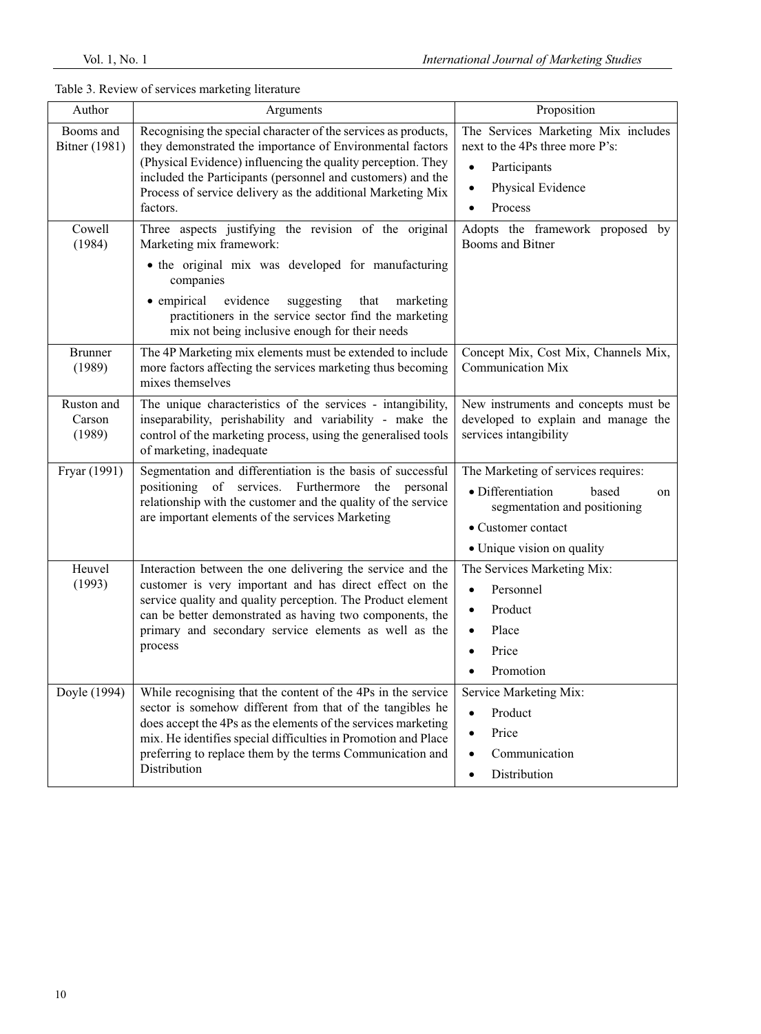| Author                            | Arguments                                                                                                                                                                                                                                                                                                                                 | Proposition                                                                                                                                                   |
|-----------------------------------|-------------------------------------------------------------------------------------------------------------------------------------------------------------------------------------------------------------------------------------------------------------------------------------------------------------------------------------------|---------------------------------------------------------------------------------------------------------------------------------------------------------------|
| Booms and<br><b>Bitner</b> (1981) | Recognising the special character of the services as products,<br>they demonstrated the importance of Environmental factors<br>(Physical Evidence) influencing the quality perception. They<br>included the Participants (personnel and customers) and the<br>Process of service delivery as the additional Marketing Mix<br>factors.     | The Services Marketing Mix includes<br>next to the 4Ps three more P's:<br>Participants<br>$\bullet$<br>Physical Evidence<br>$\bullet$<br>Process<br>$\bullet$ |
| Cowell<br>(1984)                  | Three aspects justifying the revision of the original<br>Marketing mix framework:<br>• the original mix was developed for manufacturing<br>companies<br>evidence<br>• empirical<br>that<br>suggesting<br>marketing<br>practitioners in the service sector find the marketing<br>mix not being inclusive enough for their needs            | Adopts the framework proposed by<br>Booms and Bitner                                                                                                          |
| <b>Brunner</b><br>(1989)          | The 4P Marketing mix elements must be extended to include<br>more factors affecting the services marketing thus becoming<br>mixes themselves                                                                                                                                                                                              | Concept Mix, Cost Mix, Channels Mix,<br><b>Communication Mix</b>                                                                                              |
| Ruston and<br>Carson<br>(1989)    | The unique characteristics of the services - intangibility,<br>inseparability, perishability and variability - make the<br>control of the marketing process, using the generalised tools<br>of marketing, inadequate                                                                                                                      | New instruments and concepts must be<br>developed to explain and manage the<br>services intangibility                                                         |
| Fryar (1991)                      | Segmentation and differentiation is the basis of successful<br>positioning of services. Furthermore<br>the personal<br>relationship with the customer and the quality of the service<br>are important elements of the services Marketing                                                                                                  | The Marketing of services requires:<br>· Differentiation<br>based<br>on<br>segmentation and positioning<br>• Customer contact<br>• Unique vision on quality   |
| Heuvel<br>(1993)                  | Interaction between the one delivering the service and the<br>customer is very important and has direct effect on the<br>service quality and quality perception. The Product element<br>can be better demonstrated as having two components, the<br>primary and secondary service elements as well as the<br>process                      | The Services Marketing Mix:<br>Personnel<br>$\bullet$<br>Product<br>$\bullet$<br>Place<br>$\bullet$<br>Price<br>Promotion                                     |
| Doyle (1994)                      | While recognising that the content of the 4Ps in the service<br>sector is somehow different from that of the tangibles he<br>does accept the 4Ps as the elements of the services marketing<br>mix. He identifies special difficulties in Promotion and Place<br>preferring to replace them by the terms Communication and<br>Distribution | Service Marketing Mix:<br>Product<br>$\bullet$<br>Price<br>$\bullet$<br>Communication<br>$\bullet$<br>Distribution<br>$\bullet$                               |

# Table 3. Review of services marketing literature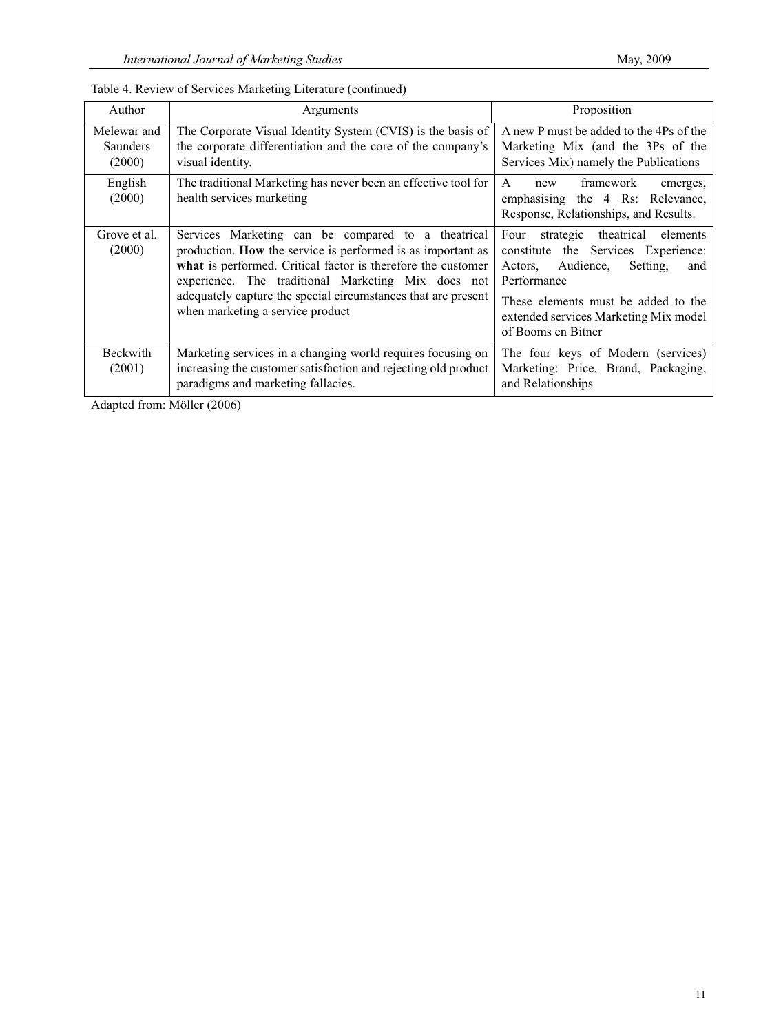| Author                                   | Arguments                                                                                                                                                                                                                                                                                                                                    | Proposition                                                                                                                                                                                                                               |
|------------------------------------------|----------------------------------------------------------------------------------------------------------------------------------------------------------------------------------------------------------------------------------------------------------------------------------------------------------------------------------------------|-------------------------------------------------------------------------------------------------------------------------------------------------------------------------------------------------------------------------------------------|
| Melewar and<br><b>Saunders</b><br>(2000) | The Corporate Visual Identity System (CVIS) is the basis of<br>the corporate differentiation and the core of the company's<br>visual identity.                                                                                                                                                                                               | A new P must be added to the 4Ps of the<br>Marketing Mix (and the 3Ps of the<br>Services Mix) namely the Publications                                                                                                                     |
| English<br>(2000)                        | The traditional Marketing has never been an effective tool for<br>health services marketing                                                                                                                                                                                                                                                  | framework<br>A<br>new<br>emerges,<br>emphasising the 4 Rs: Relevance,<br>Response, Relationships, and Results.                                                                                                                            |
| Grove et al.<br>(2000)                   | Services Marketing can be compared to a theatrical<br>production. How the service is performed is as important as<br>what is performed. Critical factor is therefore the customer<br>experience. The traditional Marketing Mix does not<br>adequately capture the special circumstances that are present<br>when marketing a service product | strategic theatrical elements<br>Four<br>constitute the Services Experience:<br>Actors, Audience,<br>Setting.<br>and<br>Performance<br>These elements must be added to the<br>extended services Marketing Mix model<br>of Booms en Bitner |
| <b>Beckwith</b><br>(2001)                | Marketing services in a changing world requires focusing on<br>increasing the customer satisfaction and rejecting old product<br>paradigms and marketing fallacies.                                                                                                                                                                          | The four keys of Modern (services)<br>Marketing: Price, Brand, Packaging,<br>and Relationships                                                                                                                                            |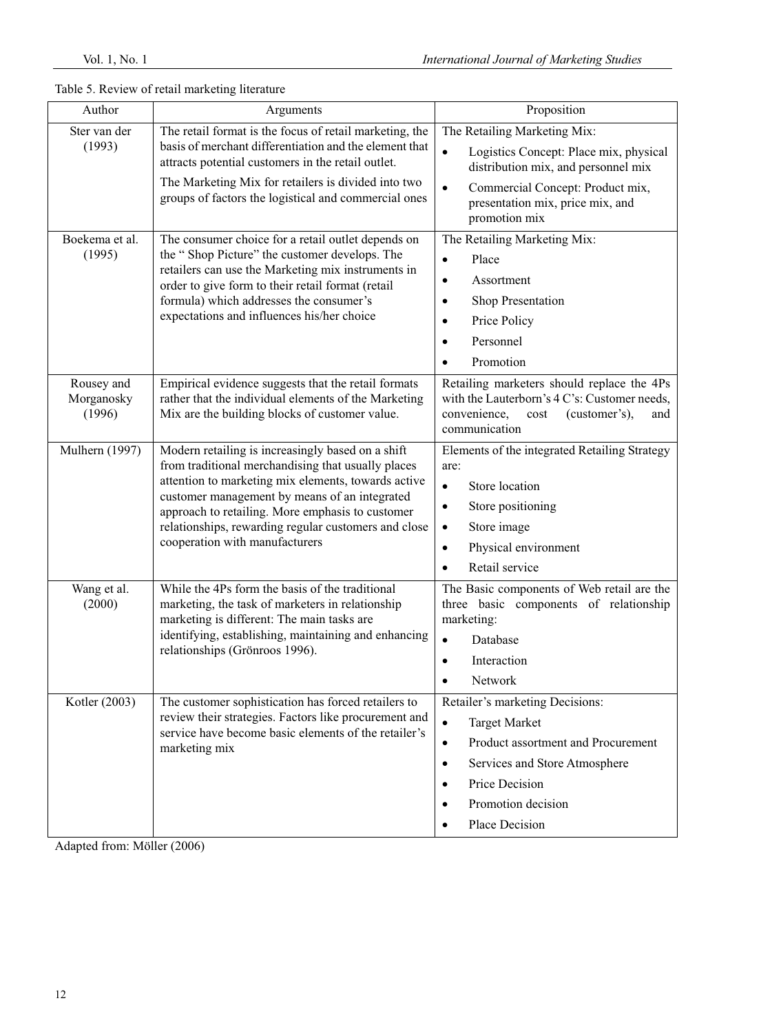| Author                             | Arguments                                                                                                                                                                                                                                                                                                                                                     | Proposition                                                                                                                                                                                                                                            |
|------------------------------------|---------------------------------------------------------------------------------------------------------------------------------------------------------------------------------------------------------------------------------------------------------------------------------------------------------------------------------------------------------------|--------------------------------------------------------------------------------------------------------------------------------------------------------------------------------------------------------------------------------------------------------|
| Ster van der<br>(1993)             | The retail format is the focus of retail marketing, the<br>basis of merchant differentiation and the element that<br>attracts potential customers in the retail outlet.<br>The Marketing Mix for retailers is divided into two<br>groups of factors the logistical and commercial ones                                                                        | The Retailing Marketing Mix:<br>$\bullet$<br>Logistics Concept: Place mix, physical<br>distribution mix, and personnel mix<br>Commercial Concept: Product mix,<br>$\bullet$<br>presentation mix, price mix, and<br>promotion mix                       |
| Boekema et al.<br>(1995)           | The consumer choice for a retail outlet depends on<br>the "Shop Picture" the customer develops. The<br>retailers can use the Marketing mix instruments in<br>order to give form to their retail format (retail<br>formula) which addresses the consumer's<br>expectations and influences his/her choice                                                       | The Retailing Marketing Mix:<br>Place<br>$\bullet$<br>Assortment<br>$\bullet$<br>Shop Presentation<br>٠<br>Price Policy<br>$\bullet$<br>Personnel<br>$\bullet$<br>Promotion                                                                            |
| Rousey and<br>Morganosky<br>(1996) | Empirical evidence suggests that the retail formats<br>rather that the individual elements of the Marketing<br>Mix are the building blocks of customer value.                                                                                                                                                                                                 | Retailing marketers should replace the 4Ps<br>with the Lauterborn's 4 C's: Customer needs,<br>convenience,<br>(customer's),<br>cost<br>and<br>communication                                                                                            |
| Mulhern (1997)                     | Modern retailing is increasingly based on a shift<br>from traditional merchandising that usually places<br>attention to marketing mix elements, towards active<br>customer management by means of an integrated<br>approach to retailing. More emphasis to customer<br>relationships, rewarding regular customers and close<br>cooperation with manufacturers | Elements of the integrated Retailing Strategy<br>are:<br>Store location<br>$\bullet$<br>Store positioning<br>$\bullet$<br>Store image<br>$\bullet$<br>Physical environment<br>$\bullet$<br>Retail service                                              |
| Wang et al.<br>(2000)              | While the 4Ps form the basis of the traditional<br>marketing, the task of marketers in relationship<br>marketing is different: The main tasks are<br>identifying, establishing, maintaining and enhancing<br>relationships (Grönroos 1996).                                                                                                                   | The Basic components of Web retail are the<br>three basic components of relationship<br>marketing:<br>Database<br>$\bullet$<br>Interaction<br>$\bullet$<br>Network                                                                                     |
| Kotler (2003)                      | The customer sophistication has forced retailers to<br>review their strategies. Factors like procurement and<br>service have become basic elements of the retailer's<br>marketing mix                                                                                                                                                                         | Retailer's marketing Decisions:<br><b>Target Market</b><br>$\bullet$<br>Product assortment and Procurement<br>$\bullet$<br>Services and Store Atmosphere<br>$\bullet$<br>Price Decision<br>$\bullet$<br>Promotion decision<br>٠<br>Place Decision<br>٠ |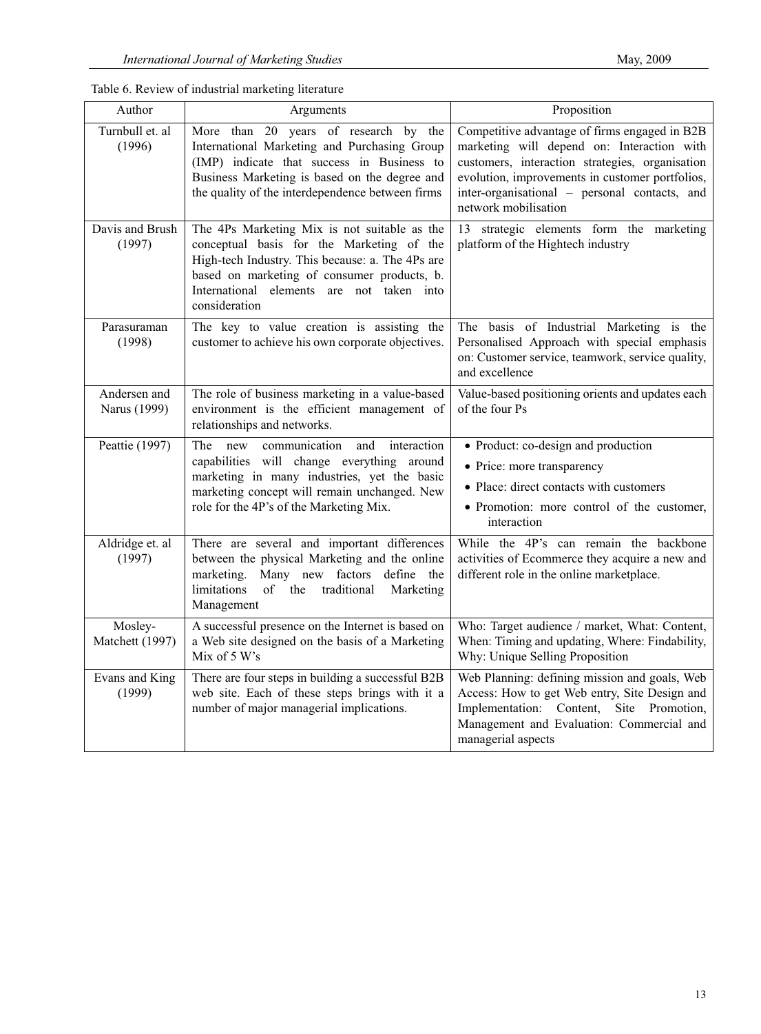| Table 6. Review of industrial marketing literature |  |  |  |
|----------------------------------------------------|--|--|--|
|----------------------------------------------------|--|--|--|

| Author                       | Arguments                                                                                                                                                                                                                                                  | Proposition                                                                                                                                                                                                                                                                |
|------------------------------|------------------------------------------------------------------------------------------------------------------------------------------------------------------------------------------------------------------------------------------------------------|----------------------------------------------------------------------------------------------------------------------------------------------------------------------------------------------------------------------------------------------------------------------------|
| Turnbull et. al<br>(1996)    | More than 20 years of research by the<br>International Marketing and Purchasing Group<br>(IMP) indicate that success in Business to<br>Business Marketing is based on the degree and<br>the quality of the interdependence between firms                   | Competitive advantage of firms engaged in B2B<br>marketing will depend on: Interaction with<br>customers, interaction strategies, organisation<br>evolution, improvements in customer portfolios,<br>inter-organisational - personal contacts, and<br>network mobilisation |
| Davis and Brush<br>(1997)    | The 4Ps Marketing Mix is not suitable as the<br>conceptual basis for the Marketing of the<br>High-tech Industry. This because: a. The 4Ps are<br>based on marketing of consumer products, b.<br>International elements are not taken into<br>consideration | 13 strategic elements form the marketing<br>platform of the Hightech industry                                                                                                                                                                                              |
| Parasuraman<br>(1998)        | The key to value creation is assisting the<br>customer to achieve his own corporate objectives.                                                                                                                                                            | The basis of Industrial Marketing is the<br>Personalised Approach with special emphasis<br>on: Customer service, teamwork, service quality,<br>and excellence                                                                                                              |
| Andersen and<br>Narus (1999) | The role of business marketing in a value-based<br>environment is the efficient management of<br>relationships and networks.                                                                                                                               | Value-based positioning orients and updates each<br>of the four Ps                                                                                                                                                                                                         |
| Peattie (1997)               | The<br>new<br>and<br>interaction<br>communication<br>capabilities will change everything around<br>marketing in many industries, yet the basic<br>marketing concept will remain unchanged. New<br>role for the 4P's of the Marketing Mix.                  | • Product: co-design and production<br>• Price: more transparency<br>• Place: direct contacts with customers<br>• Promotion: more control of the customer,<br>interaction                                                                                                  |
| Aldridge et. al<br>(1997)    | There are several and important differences<br>between the physical Marketing and the online<br>Many new factors<br>marketing.<br>define the<br>limitations<br>of<br>the<br>traditional<br>Marketing<br>Management                                         | While the 4P's can remain the backbone<br>activities of Ecommerce they acquire a new and<br>different role in the online marketplace.                                                                                                                                      |
| Mosley-<br>Matchett (1997)   | A successful presence on the Internet is based on<br>a Web site designed on the basis of a Marketing<br>Mix of 5 W's                                                                                                                                       | Who: Target audience / market, What: Content,<br>When: Timing and updating, Where: Findability,<br>Why: Unique Selling Proposition                                                                                                                                         |
| Evans and King<br>(1999)     | There are four steps in building a successful B2B<br>web site. Each of these steps brings with it a<br>number of major managerial implications.                                                                                                            | Web Planning: defining mission and goals, Web<br>Access: How to get Web entry, Site Design and<br>Implementation: Content, Site Promotion,<br>Management and Evaluation: Commercial and<br>managerial aspects                                                              |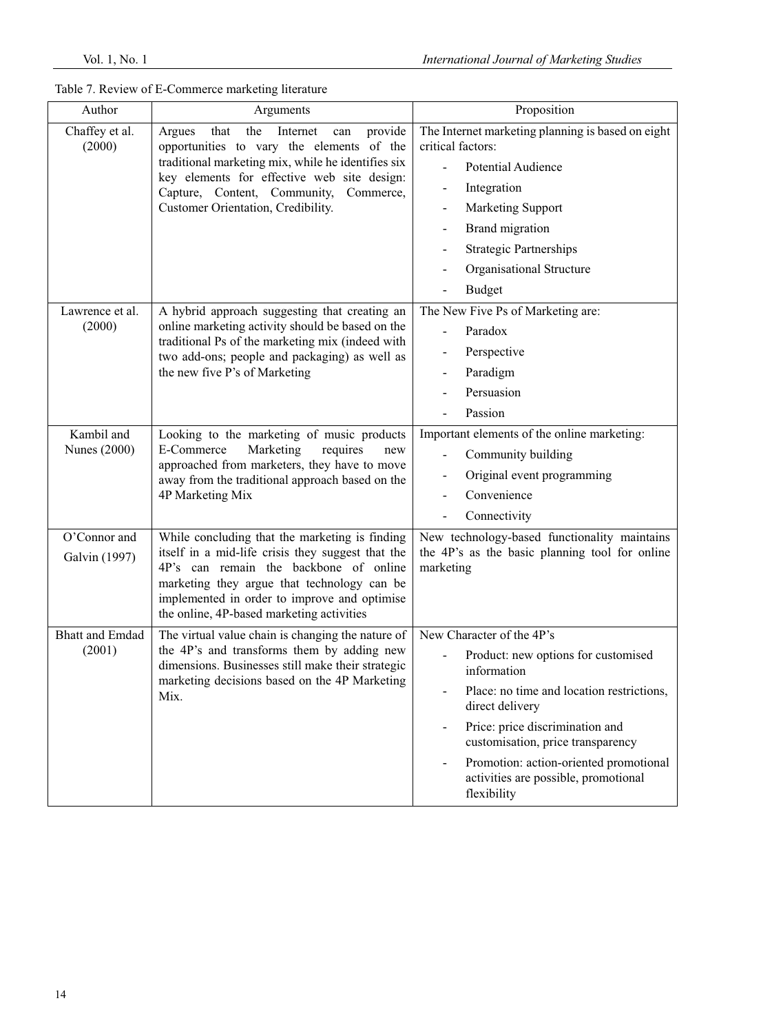| Table 7. Review of E-Commerce marketing literature |  |
|----------------------------------------------------|--|
|----------------------------------------------------|--|

| Author                            | Arguments                                                                                                                                                                                                                                                                                 | Proposition                                                                                                                                                                                                                                                                                                              |
|-----------------------------------|-------------------------------------------------------------------------------------------------------------------------------------------------------------------------------------------------------------------------------------------------------------------------------------------|--------------------------------------------------------------------------------------------------------------------------------------------------------------------------------------------------------------------------------------------------------------------------------------------------------------------------|
| Chaffey et al.<br>(2000)          | provide<br>the<br>Internet<br>Argues<br>that<br>can<br>opportunities to vary the elements of the<br>traditional marketing mix, while he identifies six<br>key elements for effective web site design:<br>Capture, Content, Community,<br>Commerce,<br>Customer Orientation, Credibility.  | The Internet marketing planning is based on eight<br>critical factors:<br><b>Potential Audience</b><br>Integration<br><b>Marketing Support</b><br>Brand migration<br><b>Strategic Partnerships</b><br>Organisational Structure<br><b>Budget</b>                                                                          |
| Lawrence et al.<br>(2000)         | A hybrid approach suggesting that creating an<br>online marketing activity should be based on the<br>traditional Ps of the marketing mix (indeed with<br>two add-ons; people and packaging) as well as<br>the new five P's of Marketing                                                   | The New Five Ps of Marketing are:<br>Paradox<br>Perspective<br>Paradigm<br>Persuasion<br>Passion                                                                                                                                                                                                                         |
| Kambil and<br><b>Nunes</b> (2000) | Looking to the marketing of music products<br>E-Commerce<br>Marketing<br>requires<br>new<br>approached from marketers, they have to move<br>away from the traditional approach based on the<br>4P Marketing Mix                                                                           | Important elements of the online marketing:<br>Community building<br>Original event programming<br>Convenience<br>Connectivity                                                                                                                                                                                           |
| O'Connor and<br>Galvin (1997)     | While concluding that the marketing is finding<br>itself in a mid-life crisis they suggest that the<br>4P's can remain the backbone of online<br>marketing they argue that technology can be<br>implemented in order to improve and optimise<br>the online, 4P-based marketing activities | New technology-based functionality maintains<br>the 4P's as the basic planning tool for online<br>marketing                                                                                                                                                                                                              |
| <b>Bhatt and Emdad</b><br>(2001)  | The virtual value chain is changing the nature of<br>the 4P's and transforms them by adding new<br>dimensions. Businesses still make their strategic<br>marketing decisions based on the 4P Marketing<br>Mix.                                                                             | New Character of the 4P's<br>Product: new options for customised<br>information<br>Place: no time and location restrictions,<br>direct delivery<br>Price: price discrimination and<br>customisation, price transparency<br>Promotion: action-oriented promotional<br>activities are possible, promotional<br>flexibility |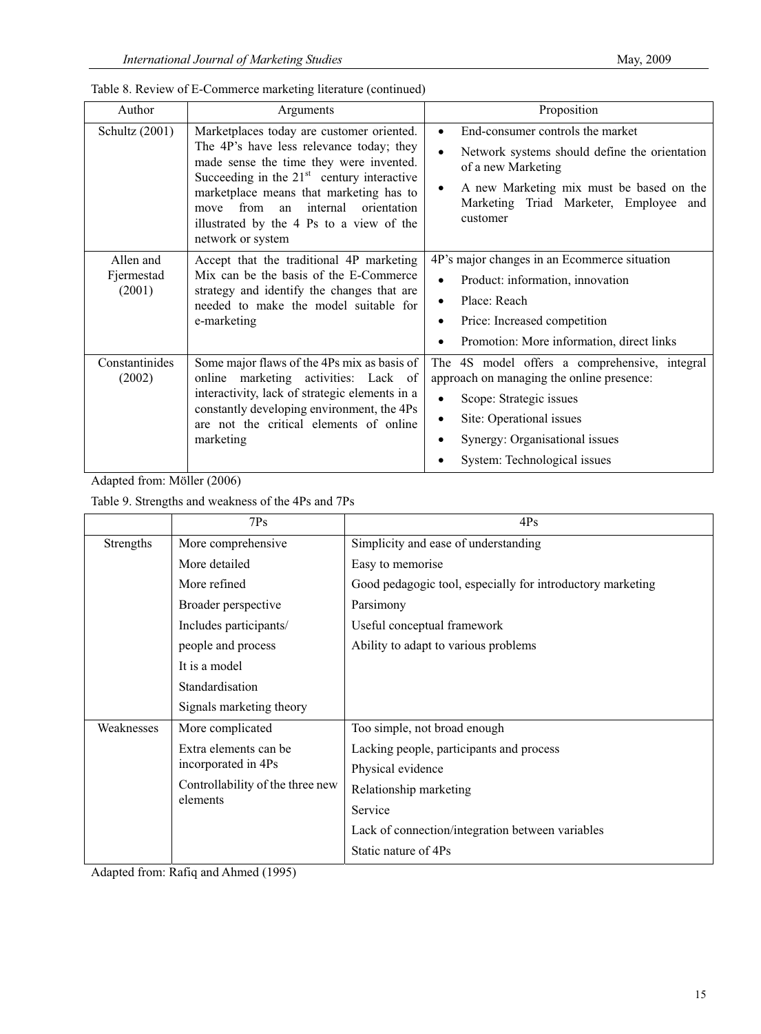| Author                            | Arguments                                                                                                                                                                                                                                                                                                                                     | Proposition                                                                                                                                                                                                                                                     |
|-----------------------------------|-----------------------------------------------------------------------------------------------------------------------------------------------------------------------------------------------------------------------------------------------------------------------------------------------------------------------------------------------|-----------------------------------------------------------------------------------------------------------------------------------------------------------------------------------------------------------------------------------------------------------------|
| Schultz (2001)                    | Marketplaces today are customer oriented.<br>The 4P's have less relevance today; they<br>made sense the time they were invented.<br>Succeeding in the $21st$ century interactive<br>marketplace means that marketing has to<br>from<br>internal<br>orientation<br>an<br>move<br>illustrated by the 4 Ps to a view of the<br>network or system | End-consumer controls the market<br>$\bullet$<br>Network systems should define the orientation<br>$\bullet$<br>of a new Marketing<br>A new Marketing mix must be based on the<br>٠<br>Marketing Triad Marketer, Employee<br>and<br>customer                     |
| Allen and<br>Fjermestad<br>(2001) | Accept that the traditional 4P marketing<br>Mix can be the basis of the E-Commerce<br>strategy and identify the changes that are<br>needed to make the model suitable for<br>e-marketing                                                                                                                                                      | 4P's major changes in an Ecommerce situation<br>Product: information, innovation<br>$\bullet$<br>Place: Reach<br>$\bullet$<br>Price: Increased competition<br>$\bullet$<br>Promotion: More information, direct links<br>$\bullet$                               |
| Constantinides<br>(2002)          | Some major flaws of the 4Ps mix as basis of<br>online marketing activities: Lack of<br>interactivity, lack of strategic elements in a<br>constantly developing environment, the 4Ps<br>are not the critical elements of online<br>marketing                                                                                                   | The 4S model offers a comprehensive, integral<br>approach on managing the online presence:<br>Scope: Strategic issues<br>$\bullet$<br>Site: Operational issues<br>٠<br>Synergy: Organisational issues<br>$\bullet$<br>System: Technological issues<br>$\bullet$ |

Table 9. Strengths and weakness of the 4Ps and 7Ps

|            | 7Ps                                                                                          | 4Ps                                                        |
|------------|----------------------------------------------------------------------------------------------|------------------------------------------------------------|
| Strengths  | More comprehensive                                                                           | Simplicity and ease of understanding                       |
|            | More detailed                                                                                | Easy to memorise                                           |
|            | More refined                                                                                 | Good pedagogic tool, especially for introductory marketing |
|            | Broader perspective                                                                          | Parsimony                                                  |
|            | Includes participants/                                                                       | Useful conceptual framework                                |
|            | people and process                                                                           | Ability to adapt to various problems                       |
|            | It is a model                                                                                |                                                            |
|            | Standardisation                                                                              |                                                            |
|            | Signals marketing theory                                                                     |                                                            |
| Weaknesses | More complicated                                                                             | Too simple, not broad enough                               |
|            | Extra elements can be<br>incorporated in 4Ps<br>Controllability of the three new<br>elements | Lacking people, participants and process                   |
|            |                                                                                              | Physical evidence                                          |
|            |                                                                                              | Relationship marketing                                     |
|            |                                                                                              | Service                                                    |
|            |                                                                                              | Lack of connection/integration between variables           |
|            |                                                                                              | Static nature of 4Ps                                       |

Adapted from: Rafiq and Ahmed (1995)